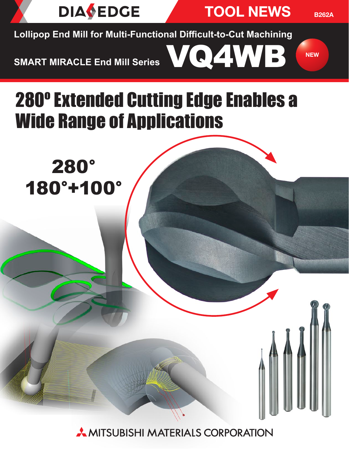

TOOL NEWS

VQ4WB NEW

B262A

**Lollipop End Mill for Multi-Functional Difficult-to-Cut Machining**

**SMART MIRACLE End Mill Series**

# 280º Extended Cutting Edge Enables a Wide Range of Applications

280° 180°+100°

**AMITSUBISHI MATERIALS CORPORATION**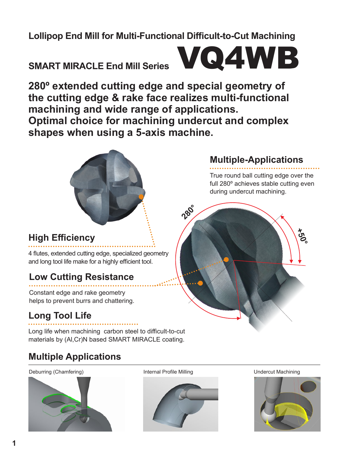## **Lollipop End Mill for Multi-Functional Difficult-to-Cut Machining**

# **SMART MIRACLE End Mill Series**



**280º extended cutting edge and special geometry of the cutting edge & rake face realizes multi-functional machining and wide range of applications. Optimal choice for machining undercut and complex shapes when using a 5-axis machine.**



# **Multiple-Applications**

True round ball cutting edge over the full 280º achieves stable cutting even during undercut machining.

## **High Efficiency**

4 flutes, extended cutting edge, specialized geometry and long tool life make for a highly efficient tool.

## **Low Cutting Resistance**

Constant edge and rake geometry helps to prevent burrs and chattering.

## **Long Tool Life**

Long life when machining carbon steel to difficult-to-cut materials by (Al,Cr)N based SMART MIRACLE coating.

## **Multiple Applications**

Deburring (Chamfering) The Internal Profile Milling Theorem Undercut Machining Undercut Machining





**280°**



**+50°**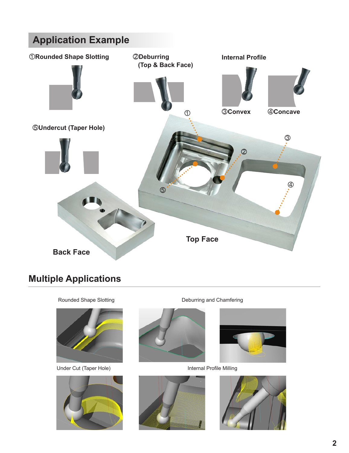

## **Multiple Applications**

Rounded Shape Slotting



Under Cut (Taper Hole)



Deburring and Chamfering





Internal Profile Milling



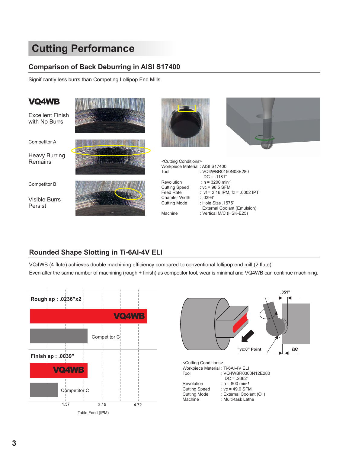# **Cutting Performance**

### **Comparison of Back Deburring in AISI S17400**

Significantly less burrs than Competing Lollipop End Mills

| <b>VQ4WB</b>                             |                                                                                |                                                                                |
|------------------------------------------|--------------------------------------------------------------------------------|--------------------------------------------------------------------------------|
| <b>Excellent Finish</b><br>with No Burrs |                                                                                |                                                                                |
| <b>Competitor A</b>                      |                                                                                |                                                                                |
| <b>Heavy Burring</b><br>Remains          | <cutting conditions=""><br/>Workpiece Material: AISI S17400<br/>Tool</cutting> | : VQ4WBR0150N08E280<br>$DC = .1181"$                                           |
| Competitor B                             | Revolution<br><b>Cutting Speed</b><br>Feed Rate                                | : $n = 3200$ min-1<br>: $vc = 98.5$ SFM<br>: $vf = 2.16$ IPM, $fz = .0002$ IPT |
| <b>Visible Burrs</b><br>Persist          | Chamfer Width<br>Cutting Mode                                                  | : .0394"<br>: Hole Size .1575"<br>External Coolant (Emulsion)                  |
|                                          | Machine                                                                        | : Vertical M/C (HSK-E25)                                                       |

## **Rounded Shape Slotting in Ti-6Al-4V ELI**

VQ4WB (4 flute) achieves double machining efficiency compared to conventional lollipop end mill (2 flute). Even after the same number of machining (rough + finish) as competitor tool, wear is minimal and VQ4WB can continue machining.



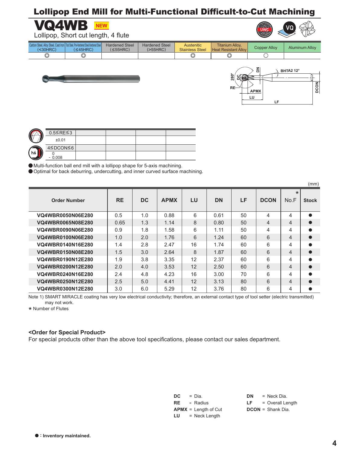## Lollipop End Mill for Multi-Functional Difficult-to-Cut Machining



Lollipop, Short cut length, 4 flute

| Carbon Steel, All<br>$30HRC$ | Dro Hardonad Ctool Hardonad Ctool<br>FICTIQIUCIICU OICCII IQIUCIICU OIC<br>45HRC | <b>Hardened Steel</b><br>$\leq$ 55HRC) | <b>Hardened Steel</b><br>(>55HRC) | Austenitic<br><b>Stainless Steel</b> | <b>Titanium Alloy.</b><br><b>Heat Resistant Alloy</b> | <b>Copper Alloy</b> | <b>Aluminum Alloy</b> |
|------------------------------|----------------------------------------------------------------------------------|----------------------------------------|-----------------------------------|--------------------------------------|-------------------------------------------------------|---------------------|-----------------------|
| ◚<br>ب                       | رب                                                                               |                                        |                                   | ⌒<br>رب                              | رب                                                    |                     |                       |





|     | $0.5 \leq RE \leq 3$ |  |  |
|-----|----------------------|--|--|
| C   | ±0.01                |  |  |
|     | 4≤DCON≤6             |  |  |
| h6. | 0.008                |  |  |

a Multi-function ball end mill with a lollipop shape for 5-axis machining.

● Optimal for back deburring, undercutting, and inner curved surface machining.

|                          |           |           |             |    |           |    |                |                 | (mm)         |
|--------------------------|-----------|-----------|-------------|----|-----------|----|----------------|-----------------|--------------|
| <b>Order Number</b>      | <b>RE</b> | <b>DC</b> | <b>APMX</b> | LU | <b>DN</b> | LF | <b>DCON</b>    | $\star$<br>No.F | <b>Stock</b> |
| <b>VQ4WBR0050N06E280</b> | 0.5       | 1.0       | 0.88        | 6  | 0.61      | 50 | 4              | 4               |              |
| <b>VQ4WBR0065N08E280</b> | 0.65      | 1.3       | 1.14        | 8  | 0.80      | 50 | $\overline{4}$ | 4               |              |
| <b>VQ4WBR0090N06E280</b> | 0.9       | 1.8       | 1.58        | 6  | 1.11      | 50 | 4              | 4               |              |
| <b>VQ4WBR0100N06E280</b> | 1.0       | 2.0       | 1.76        | 6  | 1.24      | 60 | 6              | 4               |              |
| VQ4WBR0140N16E280        | 1.4       | 2.8       | 2.47        | 16 | 1.74      | 60 | 6              | 4               |              |
| <b>VQ4WBR0150N08E280</b> | 1.5       | 3.0       | 2.64        | 8  | 1.87      | 60 | 6              | 4               |              |
| VQ4WBR0190N12E280        | 1.9       | 3.8       | 3.35        | 12 | 2.37      | 60 | 6              | 4               |              |
| <b>VQ4WBR0200N12E280</b> | 2.0       | 4.0       | 3.53        | 12 | 2.50      | 60 | 6              | 4               |              |
| VQ4WBR0240N16E280        | 2.4       | 4.8       | 4.23        | 16 | 3.00      | 70 | 6              | 4               |              |
| <b>VQ4WBR0250N12E280</b> | 2.5       | 5.0       | 4.41        | 12 | 3.13      | 80 | 6              | 4               |              |
| <b>VQ4WBR0300N12E280</b> | 3.0       | 6.0       | 5.29        | 12 | 3.76      | 80 | 6              | 4               |              |

Note 1) SMART MIRACLE coating has very low electrical conductivity; therefore, an external contact type of tool setter (electric transmitted) may not work.

\* Number of Flutes

#### **<Order for Special Product>**

For special products other than the above tool specifications, please contact our sales department.

**DC** = **RE** = **APMX** = Length of Cut **LU** =  $=$  Dia. Radius = Neck Length

**DN** = **LF** = **DCON** = Shank Dia. = Neck Dia. = Overall Length

#### a **: Inventory maintained.**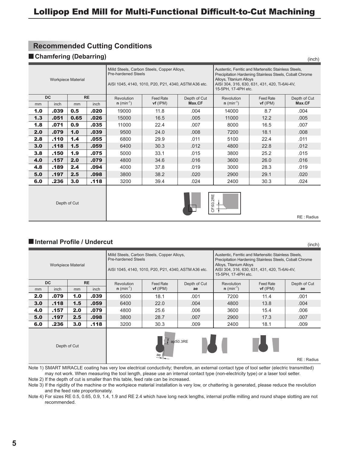#### **Recommended Cutting Conditions**

#### **E** Chamfering (Debarring)

| <b>Workpiece Material</b> |           |      |           | <b>Pre-hardened Steels</b> | Milld Steels, Carbon Steels, Copper Alloys,<br>AISI 1045, 4140, 1010, P20, P21, 4340, ASTM A36 etc. |              | Austentic, Ferritic and Martensitic Stainless Steels,<br>Precipitation Hardening Stainless Steels, Cobalt Chrome<br>Alloys, Titanium Alloys<br>AISI 304, 316, 630, 631, 431, 420, Ti-6AI-4V,<br>15-5PH, 17-4PH etc. |                  |              |  |
|---------------------------|-----------|------|-----------|----------------------------|-----------------------------------------------------------------------------------------------------|--------------|---------------------------------------------------------------------------------------------------------------------------------------------------------------------------------------------------------------------|------------------|--------------|--|
|                           | <b>DC</b> |      | <b>RE</b> | Revolution                 | <b>Feed Rate</b>                                                                                    | Depth of Cut | Revolution                                                                                                                                                                                                          | <b>Feed Rate</b> | Depth of Cut |  |
| mm                        | inch      | mm   | inch      | $n (min^{-1})$             | $vf$ (IPM)                                                                                          | Max.CF       | $n (min^{-1})$                                                                                                                                                                                                      | $vf$ (IPM)       | Max.CF       |  |
| 1.0                       | .039      | 0.5  | .020      | 19000                      | 11.8                                                                                                | .004         | 14000                                                                                                                                                                                                               | 8.7              | .004         |  |
| 1.3                       | .051      | 0.65 | .026      | 15000                      | 16.5                                                                                                | .005         | 11000                                                                                                                                                                                                               | 12.2             | .005         |  |
| 1.8                       | .071      | 0.9  | .035      | 11000                      | 22.4                                                                                                | .007         | 8000                                                                                                                                                                                                                | 16.5             | .007         |  |
| 2.0                       | .079      | 1.0  | .039      | 9500                       | 24.0                                                                                                | .008         | 7200                                                                                                                                                                                                                | 18.1             | .008         |  |
| 2.8                       | .110      | 1.4  | .055      | 6800                       | 29.9                                                                                                | .011         | 5100                                                                                                                                                                                                                | 22.4             | .011         |  |
| 3.0                       | .118      | 1.5  | .059      | 6400                       | 30.3                                                                                                | .012         | 4800                                                                                                                                                                                                                | 22.8             | .012         |  |
| 3.8                       | .150      | 1.9  | .075      | 5000                       | 33.1                                                                                                | .015         | 3800                                                                                                                                                                                                                | 25.2             | .015         |  |
| 4.0                       | .157      | 2.0  | .079      | 4800                       | 34.6                                                                                                | .016         | 3600                                                                                                                                                                                                                | 26.0             | .016         |  |
| 4.8                       | .189      | 2.4  | .094      | 4000                       | 37.8                                                                                                | .019         | 3000                                                                                                                                                                                                                | 28.3             | .019         |  |
| 5.0                       | .197      | 2.5  | .098      | 3800                       | 38.2                                                                                                | .020         | 2900                                                                                                                                                                                                                | 29.1             | .020         |  |
| 6.0                       | .236      | 3.0  | .118      | 3200                       | 39.4                                                                                                | .024         | 2400                                                                                                                                                                                                                | 30.3             | .024         |  |
|                           |           |      |           |                            |                                                                                                     |              |                                                                                                                                                                                                                     |                  |              |  |



(inch)

#### $\blacksquare$  **Internal Profile / Undercut**

|                                       |           | Depth of Cut              |           |                            |                                                                                                     |              | 2RE<br>CFS0.2                                                                                                                                                                                                       |                  |              |  |
|---------------------------------------|-----------|---------------------------|-----------|----------------------------|-----------------------------------------------------------------------------------------------------|--------------|---------------------------------------------------------------------------------------------------------------------------------------------------------------------------------------------------------------------|------------------|--------------|--|
|                                       |           |                           |           |                            |                                                                                                     |              |                                                                                                                                                                                                                     |                  | RE: Radius   |  |
|                                       |           |                           |           |                            |                                                                                                     |              |                                                                                                                                                                                                                     |                  |              |  |
| Internal Profile / Undercut<br>(inch) |           |                           |           |                            |                                                                                                     |              |                                                                                                                                                                                                                     |                  |              |  |
|                                       |           | <b>Workpiece Material</b> |           | <b>Pre-hardened Steels</b> | Milld Steels, Carbon Steels, Copper Alloys,<br>AISI 1045, 4140, 1010, P20, P21, 4340, ASTM A36 etc. |              | Austentic, Ferritic and Martensitic Stainless Steels,<br>Precipitation Hardening Stainless Steels, Cobalt Chrome<br>Alloys, Titanium Alloys<br>AISI 304, 316, 630, 631, 431, 420, Ti-6AI-4V,<br>15-5PH, 17-4PH etc. |                  |              |  |
|                                       | <b>DC</b> |                           | <b>RE</b> | Revolution                 | <b>Feed Rate</b>                                                                                    | Depth of Cut | Revolution                                                                                                                                                                                                          | <b>Feed Rate</b> | Depth of Cut |  |
| mm                                    | inch      | mm                        | inch      | $n (min^{-1})$             | $vf$ (IPM)                                                                                          | ae           | $n (min^{-1})$                                                                                                                                                                                                      | $vf$ (IPM)       | ae           |  |
| 2.0                                   | .079      | 1.0                       | .039      | 9500                       | 18.1                                                                                                | .001         | 7200                                                                                                                                                                                                                | 11.4             | .001         |  |
| 3.0                                   | .118      | 1.5                       | .059      | 6400                       | 22.0                                                                                                | .004         | 4800                                                                                                                                                                                                                | 13.8             | .004         |  |
| 4.0                                   | .157      | 2.0                       | .079      | 25.6<br>4800<br>.006       |                                                                                                     |              | 3600                                                                                                                                                                                                                | 15.4             | .006         |  |
| 5.0                                   | .197      | 2.5                       | .098      | 3800                       | 28.7                                                                                                | .007         | 2900                                                                                                                                                                                                                | 17.3             | .007         |  |
| 6.0                                   | .236      | 3.0                       | .118      | 3200                       | 30.3                                                                                                | .009         | 2400                                                                                                                                                                                                                | 18.1             | .009         |  |
|                                       |           |                           |           |                            |                                                                                                     |              |                                                                                                                                                                                                                     |                  |              |  |

 $\uparrow$  ap  $\leq$  0.3RE ae Depth of Cut RE : Radius

Note 1) SMART MIRACLE coating has very low electrical conductivity; therefore, an external contact type of tool setter (electric transmitted) may not work. When measuring the tool length, please use an internal contact type (non-electricity type) or a laser tool setter. Note 2) If the depth of cut is smaller than this table, feed rate can be increased.

Note 3) If the rigidity of the machine or the workpiece material installation is very low, or chattering is generated, please reduce the revolution and the feed rate proportionately.

Note 4) For sizes RE 0.5, 0.65, 0.9, 1.4, 1.9 and RE 2.4 which have long neck lengths, internal profile milling and round shape slotting are not recommended.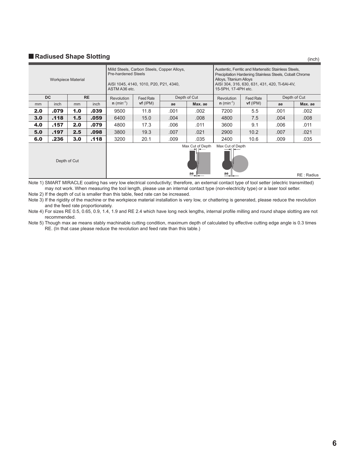## **Radiused Shape Slotting Radiused Shape Slotting**

|              | <b>Workpiece Material</b> |     |           | <b>Pre-hardened Steels</b><br>ASTM A36 etc. | Milld Steels, Carbon Steels, Copper Alloys,<br>AISI 1045, 4140, 1010, P20, P21, 4340, |                                    |                        | Austentic, Ferritic and Martensitic Stainless Steels,<br>Precipitation Hardening Stainless Steels, Cobalt Chrome<br>Alloys, Titanium Alloys<br>AISI 304, 316, 630, 631, 431, 420, Ti-6AI-4V,<br>15-5PH, 17-4PH etc. |            |              |         |
|--------------|---------------------------|-----|-----------|---------------------------------------------|---------------------------------------------------------------------------------------|------------------------------------|------------------------|---------------------------------------------------------------------------------------------------------------------------------------------------------------------------------------------------------------------|------------|--------------|---------|
|              | <b>DC</b>                 |     | <b>RE</b> | <b>Revolution</b>                           | Feed Rate                                                                             |                                    | Depth of Cut           | Revolution                                                                                                                                                                                                          | Feed Rate  | Depth of Cut |         |
| mm           | inch                      | mm  | inch      | $n (min^{-1})$                              | $vf$ (IPM)                                                                            | ae                                 | Max. ae                | $n (min^{-1})$                                                                                                                                                                                                      | $vf$ (IPM) | ae           | Max. ae |
| 2.0          | .079                      | 1.0 | .039      | 9500                                        | 11.8                                                                                  | .001                               | .002                   | 7200                                                                                                                                                                                                                | 5.5        | .001         | .002    |
| 3.0          | .118                      | 1.5 | .059      | 6400                                        | 15.0                                                                                  | .004                               | .008                   | 4800                                                                                                                                                                                                                | 7.5        | .004         | .008    |
| 4.0          | .157                      | 2.0 | .079      | 4800                                        | 17.3                                                                                  | .006                               | .011                   | 3600                                                                                                                                                                                                                | 9.1        | .006         | .011    |
| 5.0          | .197                      | 2.5 | .098      | 3800                                        | 19.3                                                                                  | .007                               | .021                   | 2900                                                                                                                                                                                                                | 10.2       | .007         | .021    |
| 6.0          | .236                      | 3.0 | .118      | 3200                                        | 20.1                                                                                  | .009                               | .035                   | 2400                                                                                                                                                                                                                | 10.6       | .009         | .035    |
| Depth of Cut |                           |     |           |                                             |                                                                                       | Max Cut of Depth<br>$\frac{ae}{4}$ | Max Cut of Depth<br>ae |                                                                                                                                                                                                                     |            | RE: Radius   |         |

Note 1) SMART MIRACLE coating has very low electrical conductivity; therefore, an external contact type of tool setter (electric transmitted) may not work. When measuring the tool length, please use an internal contact type (non-electricity type) or a laser tool setter.

Note 2) If the depth of cut is smaller than this table, feed rate can be increased.

Note 3) If the rigidity of the machine or the workpiece material installation is very low, or chattering is generated, please reduce the revolution and the feed rate proportionately.

Note 4) For sizes RE 0.5, 0.65, 0.9, 1.4, 1.9 and RE 2.4 which have long neck lengths, internal profile milling and round shape slotting are not recommended.

Note 5) Though max ae means stably machinable cutting condition, maximum depth of calculated by effective cutting edge angle is 0.3 times RE. (In that case please reduce the revolution and feed rate than this table.)